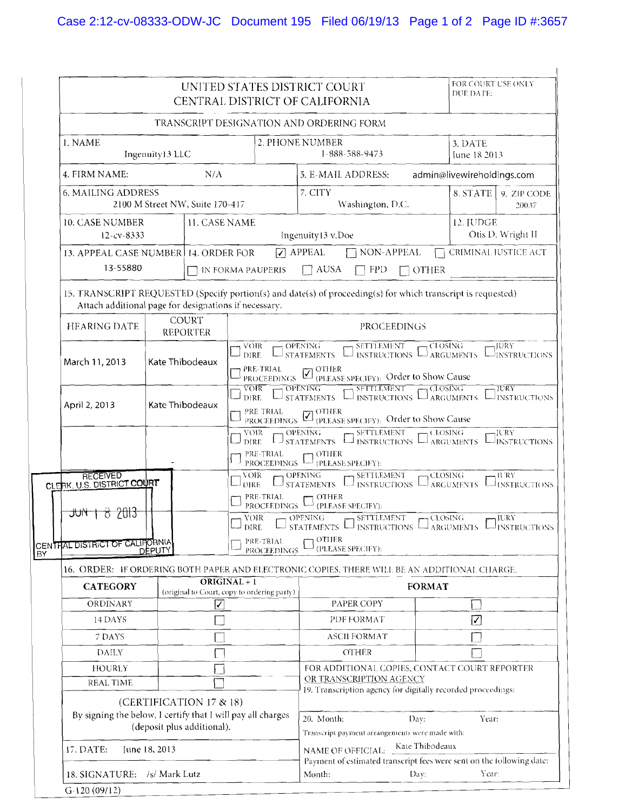|                                                                          |                                                                                                                      |                                                                                                                                                                                                                                                                                                                                              |                                                                                                                                                                                                                                                                               |                     | UNITED STATES DISTRICT COURT<br>CENTRAL DISTRICT OF CALIFORNIA                                                |                                                                                | FOR COURT USE ONLY<br>DUE DATE: |  |  |  |
|--------------------------------------------------------------------------|----------------------------------------------------------------------------------------------------------------------|----------------------------------------------------------------------------------------------------------------------------------------------------------------------------------------------------------------------------------------------------------------------------------------------------------------------------------------------|-------------------------------------------------------------------------------------------------------------------------------------------------------------------------------------------------------------------------------------------------------------------------------|---------------------|---------------------------------------------------------------------------------------------------------------|--------------------------------------------------------------------------------|---------------------------------|--|--|--|
|                                                                          |                                                                                                                      |                                                                                                                                                                                                                                                                                                                                              |                                                                                                                                                                                                                                                                               |                     | TRANSCRIPT DESIGNATION AND ORDERING FORM                                                                      |                                                                                |                                 |  |  |  |
| 1. NAME<br>Ingenuity13 LLC                                               |                                                                                                                      |                                                                                                                                                                                                                                                                                                                                              |                                                                                                                                                                                                                                                                               |                     | 2. PHONE NUMBER<br>1-888-588-9473                                                                             | 3. DATE<br>June 18 2013                                                        |                                 |  |  |  |
| 4. FIRM NAME:                                                            |                                                                                                                      | N/A                                                                                                                                                                                                                                                                                                                                          |                                                                                                                                                                                                                                                                               |                     | 5. E-MAIL ADDRESS:<br>admin@livewireholdings.com                                                              |                                                                                |                                 |  |  |  |
| <b>6. MAILING ADDRESS</b><br>2100 M Street NW, Suite 170-417             |                                                                                                                      |                                                                                                                                                                                                                                                                                                                                              |                                                                                                                                                                                                                                                                               |                     | 7. CITY<br>Washington, D.C.                                                                                   | 8. STATE<br>9. ZIP CODE<br>20037                                               |                                 |  |  |  |
| 10. CASE NUMBER<br>12-cv-8333                                            | <b>11. CASE NAME</b>                                                                                                 |                                                                                                                                                                                                                                                                                                                                              |                                                                                                                                                                                                                                                                               | Ingenuity13 v.Doe   | 12. JUDGE<br>Otis D. Wright II                                                                                |                                                                                |                                 |  |  |  |
| 13-55880                                                                 | 13. APPEAL CASE NUMBER 14. ORDER FOR                                                                                 |                                                                                                                                                                                                                                                                                                                                              |                                                                                                                                                                                                                                                                               | ] IN FORMA PAUPERIS | $\nabla$ APPEAL<br>NON-APPEAL<br>$\Box$ AUSA<br><b>FPD</b><br>$\Box$ OTHER                                    | <b>CRIMINAL JUSTICE ACT</b>                                                    |                                 |  |  |  |
| Attach additional page for designations if necessary.                    |                                                                                                                      |                                                                                                                                                                                                                                                                                                                                              |                                                                                                                                                                                                                                                                               |                     | 15. TRANSCRIPT REQUESTED (Specify portion(s) and date(s) of proceeding(s) for which transcript is requested)  |                                                                                |                                 |  |  |  |
| <b>HEARING DATE</b>                                                      | <b>COURT</b><br><b>REPORTER</b>                                                                                      |                                                                                                                                                                                                                                                                                                                                              | PROCEEDINGS                                                                                                                                                                                                                                                                   |                     |                                                                                                               |                                                                                |                                 |  |  |  |
| March 11, 2013                                                           | Kate Thibodeaux                                                                                                      |                                                                                                                                                                                                                                                                                                                                              | $-$ <sub>1</sub> SETTLEMENT<br><b>VOIR</b><br>- OPENING-<br>$\leftarrow$ CLOSING $\,$<br>$\neg$ JURY<br>LISTATEMENTS LINSTRUCTIONS LIARGUMENTS<br>LINSTRUCTIONS<br><b>DIRE</b><br>PRE-TRIAL<br>PRE-TRIAL COTHER<br>PROCEEDINGS <b>Z</b> (PLEASE SPECIFY): Order to Show Cause |                     |                                                                                                               |                                                                                |                                 |  |  |  |
| April 2, 2013                                                            | Kate Thibodeaux                                                                                                      |                                                                                                                                                                                                                                                                                                                                              | $\frac{1}{\sqrt{2}}$ SFTTLEMENT<br><sub>1</sub> CLOSING<br>$\overline{\text{VOR}}$<br>$\overline{\phantom{0}}$ OPENING<br>$\neg$ iury<br>DIRE LISTATEMENTS LINSTRUCTIONS LIARGUMENTS LINSTRUCTIONS<br>PRE TRIAL COTHER<br>PROCEEDINGS V (PLEASE SPECIFY): Order to Show Cause |                     |                                                                                                               |                                                                                |                                 |  |  |  |
| <b>RECEIVED</b><br>CLERK, U.S. DISTRICT COURT<br>7013<br><del>٦U۱۲</del> |                                                                                                                      | VOIR   OPENING   SETTLEMENT   CLOSING<br>-JURY<br><b>INSTRUCTIONS</b><br>PRE-TRIAL PROCEEDINGS $\Box$ (PLEASE SPECIFY):<br><b>CLOSING</b><br>VOIR OPENING SETTLEMENT<br>JU RY<br>Jarguments LJinstructions<br>PRE-TRIAL<br>$\Box$ OTHER<br>PROCEEDINGS L<br>(PLEASE SPECIFY):<br><b>OPENING</b><br>SETTLEMENT<br>, CLOSING<br>VOIR<br>, JURY |                                                                                                                                                                                                                                                                               |                     |                                                                                                               |                                                                                |                                 |  |  |  |
| CENTRAL DISTRICT OF CALIFORNIA                                           |                                                                                                                      | STATEMENTS $\Box$ INSTRUCTIONS<br>DIRE.<br><b>INSTRUCTIONS</b><br><b>ARGUMENTS</b><br><b>OTHER</b><br>PRE-TRIAL<br>(PLEASE SPECIFY):<br><b>PROCEEDINGS</b>                                                                                                                                                                                   |                                                                                                                                                                                                                                                                               |                     |                                                                                                               |                                                                                |                                 |  |  |  |
|                                                                          | DEPUTY                                                                                                               |                                                                                                                                                                                                                                                                                                                                              |                                                                                                                                                                                                                                                                               |                     | 16. ORDER: IF ORDERING BOTH PAPER AND ELECTRONIC COPIES, THERE WILL BE AN ADDITIONAL CHARGE.                  |                                                                                |                                 |  |  |  |
| <b>CATEGORY</b>                                                          | $ORIGINAL + 1$<br>(original to Court, copy to ordering party)                                                        |                                                                                                                                                                                                                                                                                                                                              |                                                                                                                                                                                                                                                                               |                     |                                                                                                               | <b>FORMAT</b>                                                                  |                                 |  |  |  |
| <b>ORDINARY</b>                                                          |                                                                                                                      | ⊽                                                                                                                                                                                                                                                                                                                                            |                                                                                                                                                                                                                                                                               |                     | PAPER COPY                                                                                                    |                                                                                |                                 |  |  |  |
| 14 DAYS                                                                  |                                                                                                                      |                                                                                                                                                                                                                                                                                                                                              |                                                                                                                                                                                                                                                                               |                     | PDF FORMAT                                                                                                    |                                                                                | $\boxed{\checkmark}$            |  |  |  |
| 7 DAYS                                                                   |                                                                                                                      |                                                                                                                                                                                                                                                                                                                                              |                                                                                                                                                                                                                                                                               |                     | <b>ASCII FORMAT</b>                                                                                           |                                                                                |                                 |  |  |  |
| <b>DAILY</b>                                                             |                                                                                                                      |                                                                                                                                                                                                                                                                                                                                              |                                                                                                                                                                                                                                                                               |                     | <b>OTHER</b>                                                                                                  |                                                                                |                                 |  |  |  |
| <b>HOURLY</b>                                                            |                                                                                                                      |                                                                                                                                                                                                                                                                                                                                              |                                                                                                                                                                                                                                                                               |                     | FOR ADDITIONAL COPIES, CONTACT COURT REPORTER                                                                 |                                                                                |                                 |  |  |  |
| REAL TIME                                                                |                                                                                                                      |                                                                                                                                                                                                                                                                                                                                              |                                                                                                                                                                                                                                                                               |                     | OR TRANSCRIPTION AGENCY<br>19. Transcription agency for digitally recorded proceedings:                       |                                                                                |                                 |  |  |  |
|                                                                          | (CERTIFICATION 17 & 18)<br>By signing the below, I certify that I will pay all charges<br>(deposit plus additional). |                                                                                                                                                                                                                                                                                                                                              |                                                                                                                                                                                                                                                                               |                     |                                                                                                               | 20. Month.<br>Year:<br>Day:<br>Transcript payment arrangements were made with: |                                 |  |  |  |
| 17. DATE:                                                                | June 18, 2013                                                                                                        |                                                                                                                                                                                                                                                                                                                                              |                                                                                                                                                                                                                                                                               |                     | Kate Thibodeaux<br>NAME OF OFFICIAL:<br>Payment of estimated transcript fees were sent on the following date: |                                                                                |                                 |  |  |  |
| 18. SIGNATURE: /s/ Mark Lutz<br>$G-120(09/12)$                           |                                                                                                                      |                                                                                                                                                                                                                                                                                                                                              |                                                                                                                                                                                                                                                                               |                     | Month:                                                                                                        | Day:                                                                           | Year:                           |  |  |  |